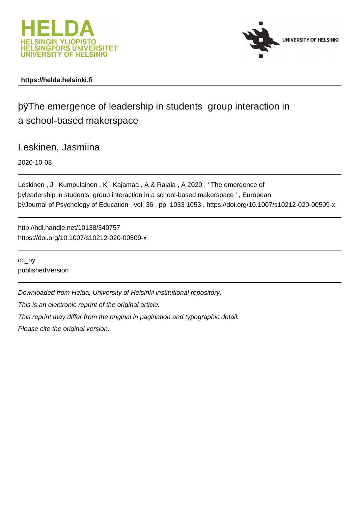



## **https://helda.helsinki.fi**

# þÿThe emergence of leadership in students group a school-based makerspace

Leskinen, Jasmiina

2020-10-08

```
Leskinen , J , Kumpulainen , K , Kajamaa , A & Rajala , A 2020 , ' The emergence of
þÿleadership in students group interaction in a school-based makerspac
þÿJournal of Psychology of Education, vol. 36, pp. 1033 1053. https://
```
http://hdl.handle.net/10138/340757 https://doi.org/10.1007/s10212-020-00509-x

cc\_by publishedVersion

Downloaded from Helda, University of Helsinki institutional repository.

This is an electronic reprint of the original article.

This reprint may differ from the original in pagination and typographic detail.

Please cite the original version.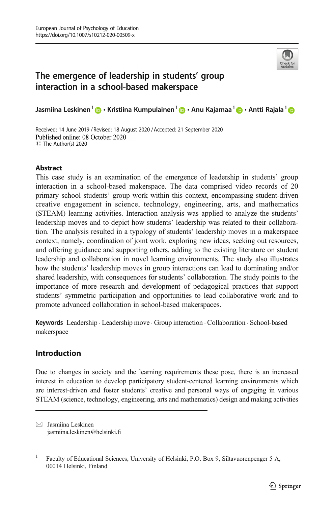

# The emergence of leadership in students' group interaction in a school-based makerspace

Jasmiina Leskinen<sup>1</sup>  $\bigcirc$  • Kristiina Kumpulainen<sup>1</sup>  $\bigcirc$  • Anu Kajamaa<sup>1</sup>  $\bigcirc$  • Antti Rajala<sup>1</sup>  $\bigcirc$ 

Received: 14 June 2019 / Revised: 18 August 2020 / Accepted: 21 September 2020<br>Published online: 08 October 2020 C The Author(s) 2020

#### **Abstract**

This case study is an examination of the emergence of leadership in students' group interaction in a school-based makerspace. The data comprised video records of 20 primary school students' group work within this context, encompassing student-driven creative engagement in science, technology, engineering, arts, and mathematics (STEAM) learning activities. Interaction analysis was applied to analyze the students' leadership moves and to depict how students' leadership was related to their collaboration. The analysis resulted in a typology of students' leadership moves in a makerspace context, namely, coordination of joint work, exploring new ideas, seeking out resources, and offering guidance and supporting others, adding to the existing literature on student leadership and collaboration in novel learning environments. The study also illustrates how the students' leadership moves in group interactions can lead to dominating and/or shared leadership, with consequences for students' collaboration. The study points to the importance of more research and development of pedagogical practices that support students' symmetric participation and opportunities to lead collaborative work and to promote advanced collaboration in school-based makerspaces.

Keywords Leadership . Leadership move . Group interaction . Collaboration . School-based makerspace

## Introduction

Due to changes in society and the learning requirements these pose, there is an increased interest in education to develop participatory student-centered learning environments which are interest-driven and foster students' creative and personal ways of engaging in various STEAM (science, technology, engineering, arts and mathematics) design and making activities

 $\boxtimes$  Jasmiina Leskinen [jasmiina.leskinen@helsinki.fi](mailto:jasmiina.leskinen@helsinki.fi)

<sup>&</sup>lt;sup>1</sup> Faculty of Educational Sciences, University of Helsinki, P.O. Box 9, Siltavuorenpenger 5 A, 00014 Helsinki, Finland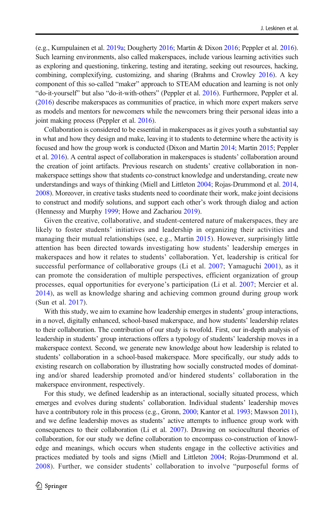(e.g., Kumpulainen et al. 2019a; Dougherty 2016; Martin & Dixon 2016; Peppler et al. 2016). Such learning environments, also called makerspaces, include various learning activities such as exploring and questioning, tinkering, testing and iterating, seeking out resources, hacking, combining, complexifying, customizing, and sharing (Brahms and Crowley 2016). A key component of this so-called "maker" approach to STEAM education and learning is not only "do-it-yourself" but also "do-it-with-others" (Peppler et al. 2016). Furthermore, Peppler et al. (2016) describe makerspaces as communities of practice, in which more expert makers serve as models and mentors for newcomers while the newcomers bring their personal ideas into a joint making process (Peppler et al. 2016).

Collaboration is considered to be essential in makerspaces as it gives youth a substantial say in what and how they design and make, leaving it to students to determine where the activity is focused and how the group work is conducted (Dixon and Martin 2014; Martin 2015; Peppler et al. 2016). A central aspect of collaboration in makerspaces is students' collaboration around the creation of joint artifacts. Previous research on students' creative collaboration in nonmakerspace settings show that students co-construct knowledge and understanding, create new understandings and ways of thinking (Miell and Littleton 2004; Rojas-Drummond et al. 2014, 2008). Moreover, in creative tasks students need to coordinate their work, make joint decisions to construct and modify solutions, and support each other's work through dialog and action (Hennessy and Murphy 1999; Howe and Zachariou 2019).

Given the creative, collaborative, and student-centered nature of makerspaces, they are likely to foster students' initiatives and leadership in organizing their activities and managing their mutual relationships (see, e.g., Martin 2015). However, surprisingly little attention has been directed towards investigating how students' leadership emerges in makerspaces and how it relates to students' collaboration. Yet, leadership is critical for successful performance of collaborative groups (Li et al. 2007; Yamaguchi 2001), as it can promote the consideration of multiple perspectives, efficient organization of group processes, equal opportunities for everyone's participation (Li et al. 2007; Mercier et al. 2014), as well as knowledge sharing and achieving common ground during group work (Sun et al. 2017).

With this study, we aim to examine how leadership emerges in students' group interactions, in a novel, digitally enhanced, school-based makerspace, and how students' leadership relates to their collaboration. The contribution of our study is twofold. First, our in-depth analysis of leadership in students' group interactions offers a typology of students' leadership moves in a makerspace context. Second, we generate new knowledge about how leadership is related to students' collaboration in a school-based makerspace. More specifically, our study adds to existing research on collaboration by illustrating how socially constructed modes of dominating and/or shared leadership promoted and/or hindered students' collaboration in the makerspace environment, respectively.

For this study, we defined leadership as an interactional, socially situated process, which emerges and evolves during students' collaboration. Individual students' leadership moves have a contributory role in this process (e.g., Gronn, 2000; Kantor et al. 1993; Mawson 2011), and we define leadership moves as students' active attempts to influence group work with consequences to their collaboration (Li et al. 2007). Drawing on sociocultural theories of collaboration, for our study we define collaboration to encompass co-construction of knowledge and meanings, which occurs when students engage in the collective activities and practices mediated by tools and signs (Miell and Littleton 2004; Rojas-Drummond et al. 2008). Further, we consider students' collaboration to involve "purposeful forms of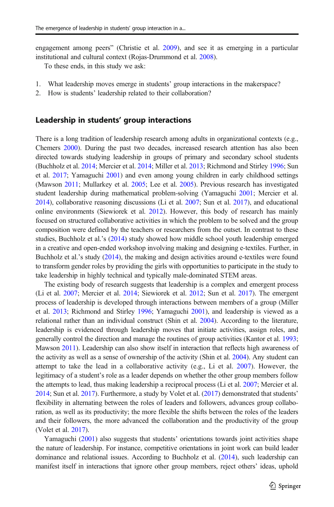engagement among peers" (Christie et al. 2009), and see it as emerging in a particular institutional and cultural context (Rojas-Drummond et al. 2008).

To these ends, in this study we ask:

- 1. What leadership moves emerge in students' group interactions in the makerspace?
- 2. How is students' leadership related to their collaboration?

#### Leadership in students' group interactions

There is a long tradition of leadership research among adults in organizational contexts (e.g., Chemers 2000). During the past two decades, increased research attention has also been directed towards studying leadership in groups of primary and secondary school students (Buchholz et al. 2014; Mercier et al. 2014; Miller et al. 2013; Richmond and Stirley 1996; Sun et al. 2017; Yamaguchi 2001) and even among young children in early childhood settings (Mawson 2011; Mullarkey et al. 2005; Lee et al. 2005). Previous research has investigated student leadership during mathematical problem-solving (Yamaguchi 2001; Mercier et al. 2014), collaborative reasoning discussions (Li et al. 2007; Sun et al. 2017), and educational online environments (Siewiorek et al. 2012). However, this body of research has mainly focused on structured collaborative activities in which the problem to be solved and the group composition were defined by the teachers or researchers from the outset. In contrast to these studies, Buchholz et al.'s (2014) study showed how middle school youth leadership emerged in a creative and open-ended workshop involving making and designing e-textiles. Further, in Buchholz et al.'s study (2014), the making and design activities around e-textiles were found to transform gender roles by providing the girls with opportunities to participate in the study to take leadership in highly technical and typically male-dominated STEM areas.

The existing body of research suggests that leadership is a complex and emergent process (Li et al. 2007; Mercier et al. 2014; Siewiorek et al. 2012; Sun et al. 2017). The emergent process of leadership is developed through interactions between members of a group (Miller et al. 2013; Richmond and Stirley 1996; Yamaguchi 2001), and leadership is viewed as a relational rather than an individual construct (Shin et al. 2004). According to the literature, leadership is evidenced through leadership moves that initiate activities, assign roles, and generally control the direction and manage the routines of group activities (Kantor et al. 1993; Mawson 2011). Leadership can also show itself in interaction that reflects high awareness of the activity as well as a sense of ownership of the activity (Shin et al. 2004). Any student can attempt to take the lead in a collaborative activity (e.g., Li et al.  $2007$ ). However, the legitimacy of a student's role as a leader depends on whether the other group members follow the attempts to lead, thus making leadership a reciprocal process (Li et al. 2007; Mercier et al. 2014; Sun et al. 2017). Furthermore, a study by Volet et al. (2017) demonstrated that students' flexibility in alternating between the roles of leaders and followers, advances group collaboration, as well as its productivity; the more flexible the shifts between the roles of the leaders and their followers, the more advanced the collaboration and the productivity of the group (Volet et al. 2017).

Yamaguchi (2001) also suggests that students' orientations towards joint activities shape the nature of leadership. For instance, competitive orientations in joint work can build leader dominance and relational issues. According to Buchholz et al. (2014), such leadership can manifest itself in interactions that ignore other group members, reject others' ideas, uphold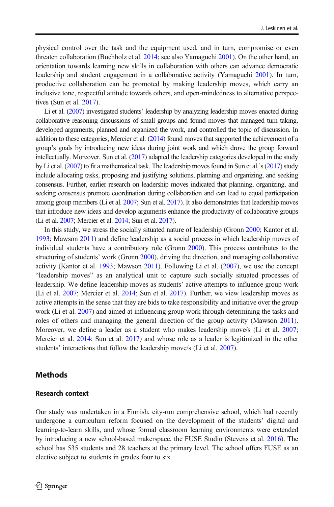physical control over the task and the equipment used, and in turn, compromise or even threaten collaboration (Buchholz et al. 2014; see also Yamaguchi 2001). On the other hand, an orientation towards learning new skills in collaboration with others can advance democratic leadership and student engagement in a collaborative activity (Yamaguchi 2001). In turn, productive collaboration can be promoted by making leadership moves, which carry an inclusive tone, respectful attitude towards others, and open-mindedness to alternative perspectives (Sun et al. 2017).

Li et al. (2007) investigated students' leadership by analyzing leadership moves enacted during collaborative reasoning discussions of small groups and found moves that managed turn taking, developed arguments, planned and organized the work, and controlled the topic of discussion. In addition to these categories, Mercier et al. (2014) found moves that supported the achievement of a group's goals by introducing new ideas during joint work and which drove the group forward intellectually. Moreover, Sun et al. (2017) adapted the leadership categories developed in the study by Li et al. (2007) to fit a mathematical task. The leadership moves found in Sun et al.'s (2017) study include allocating tasks, proposing and justifying solutions, planning and organizing, and seeking consensus. Further, earlier research on leadership moves indicated that planning, organizing, and seeking consensus promote coordination during collaboration and can lead to equal participation among group members (Li et al. 2007; Sun et al. 2017). It also demonstrates that leadership moves that introduce new ideas and develop arguments enhance the productivity of collaborative groups (Li et al. 2007; Mercier et al. 2014; Sun et al. 2017).

In this study, we stress the socially situated nature of leadership (Gronn 2000; Kantor et al. 1993; Mawson 2011) and define leadership as a social process in which leadership moves of individual students have a contributory role (Gronn 2000). This process contributes to the structuring of students' work (Gronn 2000), driving the direction, and managing collaborative activity (Kantor et al. 1993; Mawson 2011). Following Li et al. (2007), we use the concept "leadership moves" as an analytical unit to capture such socially situated processes of leadership. We define leadership moves as students' active attempts to influence group work (Li et al. 2007; Mercier et al. 2014; Sun et al. 2017). Further, we view leadership moves as active attempts in the sense that they are bids to take responsibility and initiative over the group work (Li et al. 2007) and aimed at influencing group work through determining the tasks and roles of others and managing the general direction of the group activity (Mawson 2011). Moreover, we define a leader as a student who makes leadership move/s (Li et al. 2007; Mercier et al. 2014; Sun et al. 2017) and whose role as a leader is legitimized in the other students' interactions that follow the leadership move/s (Li et al. 2007).

#### **Methods**

#### Research context

Our study was undertaken in a Finnish, city-run comprehensive school, which had recently undergone a curriculum reform focused on the development of the students' digital and learning-to-learn skills, and whose formal classroom learning environments were extended by introducing a new school-based makerspace, the FUSE Studio (Stevens et al. 2016). The school has 535 students and 28 teachers at the primary level. The school offers FUSE as an elective subject to students in grades four to six.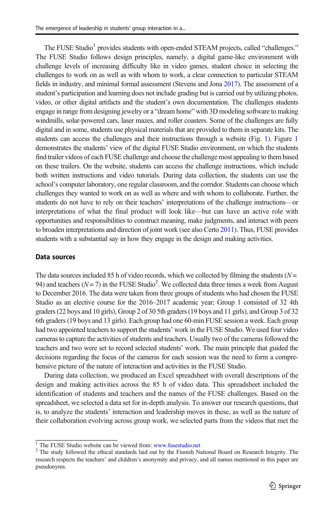The FUSE Studio<sup>1</sup> provides students with open-ended STEAM projects, called "challenges." The FUSE Studio follows design principles, namely, a digital game-like environment with challenge levels of increasing difficulty like in video games, student choice in selecting the challenges to work on as well as with whom to work, a clear connection to particular STEAM fields in industry, and minimal formal assessment (Stevens and Jona 2017). The assessment of a student's participation and learning does not include grading but is carried out by utilizing photos, video, or other digital artifacts and the student's own documentation. The challenges students engage in range from designing jewelry or a "dream home" with 3D modeling software to making windmills, solar-powered cars, laser mazes, and roller coasters. Some of the challenges are fully digital and in some, students use physical materials that are provided to them in separate kits. The students can access the challenges and their instructions through a website (Fig. 1). Figure  $1$ demonstrates the students' view of the digital FUSE Studio environment, on which the students find trailer videos of each FUSE challenge and choose the challenge most appealing to them based on these trailers. On the website, students can access the challenge instructions, which include both written instructions and video tutorials. During data collection, the students can use the school's computer laboratory, one regular classroom, and the corridor. Students can choose which challenges they wanted to work on as well as where and with whom to collaborate. Further, the students do not have to rely on their teachers' interpretations of the challenge instructions—or interpretations of what the final product will look like—but can have an active role with opportunities and responsibilities to construct meaning, make judgments, and interact with peers to broaden interpretations and direction of joint work (see also Certo 2011). Thus, FUSE provides students with a substantial say in how they engage in the design and making activities.

#### Data sources

The data sources included 85 h of video records, which we collected by filming the students ( $N =$ 94) and teachers ( $N = 7$ ) in the FUSE Studio<sup>2</sup>. We collected data three times a week from August to December 2016. The data were taken from three groups of students who had chosen the FUSE Studio as an elective course for the 2016–2017 academic year; Group 1 consisted of 32 4th graders (22 boys and 10 girls), Group 2 of 30 5th graders (19 boys and 11 girls), and Group 3 of 32 6th graders (19 boys and 13 girls). Each group had one 60-min FUSE session a week. Each group had two appointed teachers to support the students' work in the FUSE Studio. We used four video cameras to capture the activities of students and teachers. Usually two of the cameras followed the teachers and two were set to record selected students' work. The main principle that guided the decisions regarding the focus of the cameras for each session was the need to form a comprehensive picture of the nature of interaction and activities in the FUSE Studio.

During data collection, we produced an Excel spreadsheet with overall descriptions of the design and making activities across the 85 h of video data. This spreadsheet included the identification of students and teachers and the names of the FUSE challenges. Based on the spreadsheet, we selected a data set for in-depth analysis. To answer our research questions, that is, to analyze the students' interaction and leadership moves in these, as well as the nature of their collaboration evolving across group work, we selected parts from the videos that met the

<sup>&</sup>lt;sup>1</sup> The FUSE Studio website can be viewed from: [www.fusestudio.net](https://doi.org/http://creativecommons.org/licenses/by/4.0/)  $2$ <sup>2</sup> The study followed the ethical standards laid out by the Finnish National Board on Research Integrity. The research respects the teachers' and children's anonymity and privacy, and all names mentioned in this paper are pseudonyms.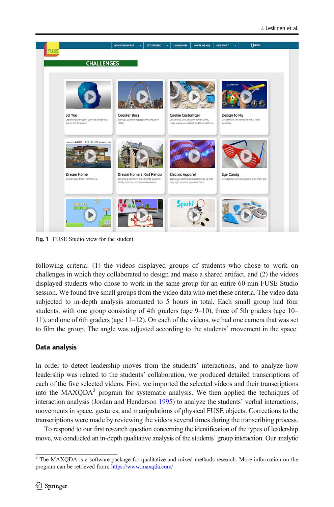

Fig. 1 FUSE Studio view for the student

following criteria: (1) the videos displayed groups of students who chose to work on challenges in which they collaborated to design and make a shared artifact, and (2) the videos displayed students who chose to work in the same group for an entire 60-min FUSE Studio session. We found five small groups from the video data who met these criteria. The video data subjected to in-depth analysis amounted to 5 hours in total. Each small group had four students, with one group consisting of 4th graders (age 9–10), three of 5th graders (age 10– 11), and one of 6th graders (age 11–12). On each of the videos, we had one camera that was set to film the group. The angle was adjusted according to the students' movement in the space.

#### Data analysis

In order to detect leadership moves from the students' interactions, and to analyze how leadership was related to the students' collaboration, we produced detailed transcriptions of each of the five selected videos. First, we imported the selected videos and their transcriptions into the MAXQDA $3$  program for systematic analysis. We then applied the techniques of interaction analysis (Jordan and Henderson 1995) to analyze the students' verbal interactions, movements in space, gestures, and manipulations of physical FUSE objects. Corrections to the transcriptions were made by reviewing the videos several times during the transcribing process.

To respond to our first research question concerning the identification of the types of leadership move, we conducted an in-depth qualitative analysis of the students' group interaction. Our analytic

<sup>&</sup>lt;sup>3</sup> The MAXQDA is a software package for qualitative and mixed methods research. More information on the program can be retrieved from: [https://www.maxqda.com/](https://doi.org/http://creativecommons.org/licenses/by/4.0/)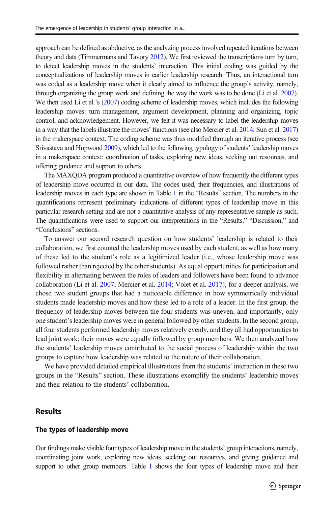approach can be defined as abductive, as the analyzing process involved repeated iterations between theory and data (Timmermans and Tavory 2012). We first reviewed the transcriptions turn by turn, to detect leadership moves in the students' interaction. This initial coding was guided by the conceptualizations of leadership moves in earlier leadership research. Thus, an interactional turn was coded as a leadership move when it clearly aimed to influence the group's activity, namely, through organizing the group work and defining the way the work was to be done (Li et al. 2007). We then used Li et al.'s (2007) coding scheme of leadership moves, which includes the following leadership moves: turn management, argument development, planning and organizing, topic control, and acknowledgement. However, we felt it was necessary to label the leadership moves in a way that the labels illustrate the moves' functions (see also Mercier et al. 2014; Sun et al. 2017) in the makerspace context. The coding scheme was thus modified through an iterative process (see Srivastava and Hopwood 2009), which led to the following typology of students' leadership moves in a makerspace context: coordination of tasks, exploring new ideas, seeking out resources, and offering guidance and support to others.

The MAXQDA program produced a quantitative overview of how frequently the different types of leadership move occurred in our data. The codes used, their frequencies, and illustrations of leadership moves in each type are shown in Table 1 in the "Results" section. The numbers in the quantifications represent preliminary indications of different types of leadership move in this particular research setting and are not a quantitative analysis of any representative sample as such. The quantifications were used to support our interpretations in the "Results," "Discussion," and "Conclusions" sections.

To answer our second research question on how students' leadership is related to their collaboration, we first counted the leadership moves used by each student, as well as how many of these led to the student's role as a legitimized leader (i.e., whose leadership move was followed rather than rejected by the other students). As equal opportunities for participation and flexibility in alternating between the roles of leaders and followers have been found to advance collaboration (Li et al. 2007; Mercier et al. 2014; Volet et al. 2017), for a deeper analysis, we chose two student groups that had a noticeable difference in how symmetrically individual students made leadership moves and how these led to a role of a leader. In the first group, the frequency of leadership moves between the four students was uneven, and importantly, only one student's leadership moves were in general followed by other students. In the second group, all four students performed leadership moves relatively evenly, and they all had opportunities to lead joint work; their moves were equally followed by group members. We then analyzed how the students' leadership moves contributed to the social process of leadership within the two groups to capture how leadership was related to the nature of their collaboration.

We have provided detailed empirical illustrations from the students' interaction in these two groups in the "Results" section. These illustrations exemplify the students' leadership moves and their relation to the students' collaboration.

## **Results**

#### The types of leadership move

Our findings make visible four types of leadership move in the students' group interactions, namely, coordinating joint work, exploring new ideas, seeking out resources, and giving guidance and support to other group members. Table 1 shows the four types of leadership move and their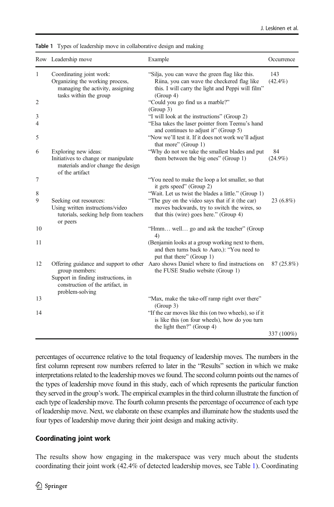|                | Row Leadership move                                                                                                                                    | Example                                                                                                                                                         | Occurrence        |
|----------------|--------------------------------------------------------------------------------------------------------------------------------------------------------|-----------------------------------------------------------------------------------------------------------------------------------------------------------------|-------------------|
| 1              | Coordinating joint work:<br>Organizing the working process,<br>managing the activity, assigning<br>tasks within the group                              | "Silja, you can wave the green flag like this.<br>Riina, you can wave the checkered flag like<br>this. I will carry the light and Peppi will film"<br>(Group 4) | 143<br>$(42.4\%)$ |
| $\overline{2}$ |                                                                                                                                                        | "Could you go find us a marble?"<br>(Group 3)                                                                                                                   |                   |
| 3              |                                                                                                                                                        | "I will look at the instructions" (Group 2)                                                                                                                     |                   |
| 4              |                                                                                                                                                        | "Elsa takes the laser pointer from Teemu's hand<br>and continues to adjust it" (Group 5)                                                                        |                   |
| 5              |                                                                                                                                                        | "Now we'll test it. If it does not work we'll adjust<br>that more" (Group 1)                                                                                    |                   |
| 6              | Exploring new ideas:<br>Initiatives to change or manipulate<br>materials and/or change the design<br>of the artifact                                   | "Why do not we take the smallest blades and put<br>them between the big ones" (Group 1)                                                                         | 84<br>$(24.9\%)$  |
| 7              |                                                                                                                                                        | "You need to make the loop a lot smaller, so that<br>it gets speed" (Group 2)                                                                                   |                   |
| 8              |                                                                                                                                                        | "Wait. Let us twist the blades a little." (Group 1)                                                                                                             |                   |
| 9              | Seeking out resources:<br>Using written instructions/video<br>tutorials, seeking help from teachers<br>or peers                                        | "The guy on the video says that if it (the car)<br>moves backwards, try to switch the wires, so<br>that this (wire) goes here." (Group 4)                       | $23(6.8\%)$       |
| 10             |                                                                                                                                                        | "Hmm well go and ask the teacher" (Group<br>4)                                                                                                                  |                   |
| 11             |                                                                                                                                                        | (Benjamin looks at a group working next to them,<br>and then turns back to Aaro,): "You need to<br>put that there" (Group 1)                                    |                   |
| 12             | Offering guidance and support to other<br>group members:<br>Support in finding instructions, in<br>construction of the artifact, in<br>problem-solving | Aaro shows Daniel where to find instructions on<br>the FUSE Studio website (Group 1)                                                                            | 87 (25.8%)        |
| 13             |                                                                                                                                                        | "Max, make the take-off ramp right over there"<br>(Group 3)                                                                                                     |                   |
| 14             |                                                                                                                                                        | "If the car moves like this (on two wheels), so if it<br>is like this (on four wheels), how do you turn<br>the light then?" (Group 4)                           |                   |
|                |                                                                                                                                                        |                                                                                                                                                                 | 337 (100%)        |

Table 1 Types of leadership move in collaborative design and making

percentages of occurrence relative to the total frequency of leadership moves. The numbers in the first column represent row numbers referred to later in the "Results" section in which we make interpretations related to the leadership moves we found. The second column points out the names of the types of leadership move found in this study, each of which represents the particular function they served in the group's work. The empirical examples in the third column illustrate the function of each type of leadership move. The fourth column presents the percentage of occurrence of each type of leadership move. Next, we elaborate on these examples and illuminate how the students used the four types of leadership move during their joint design and making activity.

## Coordinating joint work

The results show how engaging in the makerspace was very much about the students coordinating their joint work (42.4% of detected leadership moves, see Table 1). Coordinating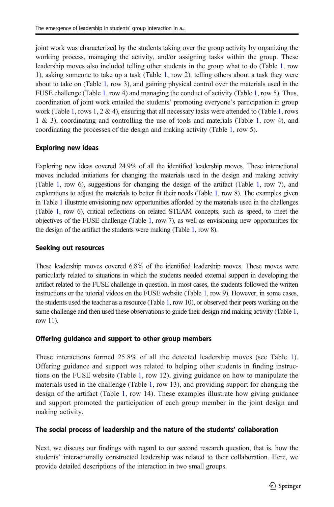joint work was characterized by the students taking over the group activity by organizing the working process, managing the activity, and/or assigning tasks within the group. These leadership moves also included telling other students in the group what to do (Table 1, row 1), asking someone to take up a task (Table 1, row 2), telling others about a task they were about to take on (Table 1, row 3), and gaining physical control over the materials used in the FUSE challenge (Table 1, row 4) and managing the conduct of activity (Table 1, row 5). Thus, coordination of joint work entailed the students' promoting everyone's participation in group work (Table 1, rows 1, 2  $\&$  4), ensuring that all necessary tasks were attended to (Table 1, rows 1 & 3), coordinating and controlling the use of tools and materials (Table 1, row 4), and coordinating the processes of the design and making activity (Table 1, row 5).

## Exploring new ideas

Exploring new ideas covered 24.9% of all the identified leadership moves. These interactional moves included initiations for changing the materials used in the design and making activity (Table 1, row 6), suggestions for changing the design of the artifact (Table 1, row 7), and explorations to adjust the materials to better fit their needs (Table 1, row 8). The examples given in Table 1 illustrate envisioning new opportunities afforded by the materials used in the challenges (Table 1, row 6), critical reflections on related STEAM concepts, such as speed, to meet the objectives of the FUSE challenge (Table 1, row 7), as well as envisioning new opportunities for the design of the artifact the students were making (Table 1, row 8).

#### Seeking out resources

These leadership moves covered 6.8% of the identified leadership moves. These moves were particularly related to situations in which the students needed external support in developing the artifact related to the FUSE challenge in question. In most cases, the students followed the written instructions or the tutorial videos on the FUSE website (Table 1, row 9). However, in some cases, the students used the teacher as a resource (Table 1, row 10), or observed their peers working on the same challenge and then used these observations to guide their design and making activity (Table 1, row 11).

#### Offering guidance and support to other group members

These interactions formed 25.8% of all the detected leadership moves (see Table 1). Offering guidance and support was related to helping other students in finding instructions on the FUSE website (Table 1, row 12), giving guidance on how to manipulate the materials used in the challenge (Table 1, row 13), and providing support for changing the design of the artifact (Table 1, row 14). These examples illustrate how giving guidance and support promoted the participation of each group member in the joint design and making activity.

#### The social process of leadership and the nature of the students' collaboration

Next, we discuss our findings with regard to our second research question, that is, how the students' interactionally constructed leadership was related to their collaboration. Here, we provide detailed descriptions of the interaction in two small groups.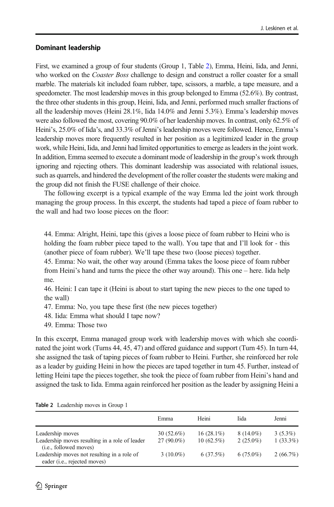#### Dominant leadership

First, we examined a group of four students (Group 1, Table 2), Emma, Heini, Iida, and Jenni, who worked on the *Coaster Boss* challenge to design and construct a roller coaster for a small marble. The materials kit included foam rubber, tape, scissors, a marble, a tape measure, and a speedometer. The most leadership moves in this group belonged to Emma (52.6%). By contrast, the three other students in this group, Heini, Iida, and Jenni, performed much smaller fractions of all the leadership moves (Heini 28.1%, Iida 14.0% and Jenni 5.3%). Emma's leadership moves were also followed the most, covering 90.0% of her leadership moves. In contrast, only 62.5% of Heini's, 25.0% of Iida's, and 33.3% of Jenni's leadership moves were followed. Hence, Emma's leadership moves more frequently resulted in her position as a legitimized leader in the group work, while Heini, Iida, and Jenni had limited opportunities to emerge as leaders in the joint work. In addition, Emma seemed to execute a dominant mode of leadership in the group's work through ignoring and rejecting others. This dominant leadership was associated with relational issues, such as quarrels, and hindered the development of the roller coaster the students were making and the group did not finish the FUSE challenge of their choice.

The following excerpt is a typical example of the way Emma led the joint work through managing the group process. In this excerpt, the students had taped a piece of foam rubber to the wall and had two loose pieces on the floor:

44. Emma: Alright, Heini, tape this (gives a loose piece of foam rubber to Heini who is holding the foam rubber piece taped to the wall). You tape that and I'll look for - this (another piece of foam rubber). We'll tape these two (loose pieces) together.

45. Emma: No wait, the other way around (Emma takes the loose piece of foam rubber from Heini's hand and turns the piece the other way around). This one – here. Iida help me.

46. Heini: I can tape it (Heini is about to start taping the new pieces to the one taped to the wall)

47. Emma: No, you tape these first (the new pieces together)

- 48. Iida: Emma what should I tape now?
- 49. Emma: Those two

In this excerpt, Emma managed group work with leadership moves with which she coordinated the joint work (Turns 44, 45, 47) and offered guidance and support (Turn 45). In turn 44, she assigned the task of taping pieces of foam rubber to Heini. Further, she reinforced her role as a leader by guiding Heini in how the pieces are taped together in turn 45. Further, instead of letting Heini tape the pieces together, she took the piece of foam rubber from Heini's hand and assigned the task to Iida. Emma again reinforced her position as the leader by assigning Heini a

|                                                                                   | Emma         | Heini        | <b>Tida</b> | Jenni       |
|-----------------------------------------------------------------------------------|--------------|--------------|-------------|-------------|
| Leadership moves                                                                  | $30(52.6\%)$ | $16(28.1\%)$ | $8(14.0\%)$ | $3(5.3\%)$  |
| Leadership moves resulting in a role of leader<br>( <i>i.e., followed moves</i> ) | $27(90.0\%)$ | $10(62.5\%)$ | $2(25.0\%)$ | $1(33.3\%)$ |
| Leadership moves not resulting in a role of<br>eader (i.e., rejected moves)       | $3(10.0\%)$  | 6(37.5%)     | $6(75.0\%)$ | 2(66.7%)    |

#### Table 2 Leadership moves in Group 1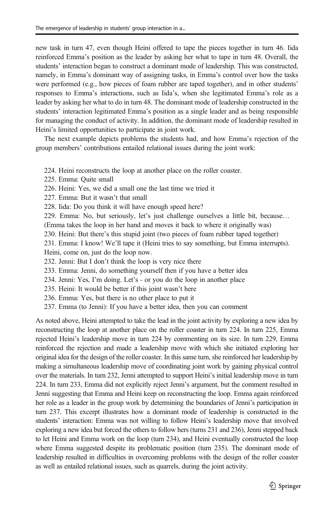new task in turn 47, even though Heini offered to tape the pieces together in turn 46. Iida reinforced Emma's position as the leader by asking her what to tape in turn 48. Overall, the students' interaction began to construct a dominant mode of leadership. This was constructed, namely, in Emma's dominant way of assigning tasks, in Emma's control over how the tasks were performed (e.g., how pieces of foam rubber are taped together), and in other students' responses to Emma's interactions, such as Iida's, when she legitimated Emma's role as a leader by asking her what to do in turn 48. The dominant mode of leadership constructed in the students' interaction legitimated Emma's position as a single leader and as being responsible for managing the conduct of activity. In addition, the dominant mode of leadership resulted in Heini's limited opportunities to participate in joint work.

The next example depicts problems the students had, and how Emma's rejection of the group members' contributions entailed relational issues during the joint work:

- 224. Heini reconstructs the loop at another place on the roller coaster.
- 225. Emma: Quite small
- 226. Heini: Yes, we did a small one the last time we tried it
- 227. Emma: But it wasn't that small
- 228. Iida: Do you think it will have enough speed here?

229. Emma: No, but seriously, let's just challenge ourselves a little bit, because…

(Emma takes the loop in her hand and moves it back to where it originally was)

230. Heini: But there's this stupid joint (two pieces of foam rubber taped together)

231. Emma: I know! We'll tape it (Heini tries to say something, but Emma interrupts).

Heini, come on, just do the loop now.

- 232. Jenni: But I don't think the loop is very nice there
- 233. Emma: Jenni, do something yourself then if you have a better idea
- 234. Jenni: Yes, I'm doing. Let's or you do the loop in another place
- 235. Heini: It would be better if this joint wasn't here
- 236. Emma: Yes, but there is no other place to put it
- 237. Emma (to Jenni): If you have a better idea, then you can comment

As noted above, Heini attempted to take the lead in the joint activity by exploring a new idea by reconstructing the loop at another place on the roller coaster in turn 224. In turn 225, Emma rejected Heini's leadership move in turn 224 by commenting on its size. In turn 229, Emma reinforced the rejection and made a leadership move with which she initiated exploring her original idea for the design of the roller coaster. In this same turn, she reinforced her leadership by making a simultaneous leadership move of coordinating joint work by gaining physical control over the materials. In turn 232, Jenni attempted to support Heini's initial leadership move in turn 224. In turn 233, Emma did not explicitly reject Jenni's argument, but the comment resulted in Jenni suggesting that Emma and Heini keep on reconstructing the loop. Emma again reinforced her role as a leader in the group work by determining the boundaries of Jenni's participation in turn 237. This excerpt illustrates how a dominant mode of leadership is constructed in the students' interaction: Emma was not willing to follow Heini's leadership move that involved exploring a new idea but forced the others to follow hers (turns 231 and 236), Jenni stepped back to let Heini and Emma work on the loop (turn 234), and Heini eventually constructed the loop where Emma suggested despite its problematic position (turn 235). The dominant mode of leadership resulted in difficulties in overcoming problems with the design of the roller coaster as well as entailed relational issues, such as quarrels, during the joint activity.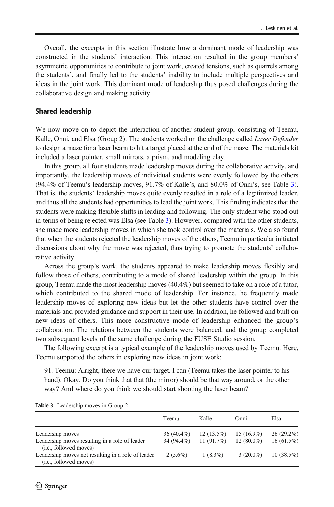Overall, the excerpts in this section illustrate how a dominant mode of leadership was constructed in the students' interaction. This interaction resulted in the group members' asymmetric opportunities to contribute to joint work, created tensions, such as quarrels among the students', and finally led to the students' inability to include multiple perspectives and ideas in the joint work. This dominant mode of leadership thus posed challenges during the collaborative design and making activity.

#### Shared leadership

We now move on to depict the interaction of another student group, consisting of Teemu, Kalle, Onni, and Elsa (Group 2). The students worked on the challenge called *Laser Defender* to design a maze for a laser beam to hit a target placed at the end of the maze. The materials kit included a laser pointer, small mirrors, a prism, and modeling clay.

In this group, all four students made leadership moves during the collaborative activity, and importantly, the leadership moves of individual students were evenly followed by the others (94.4% of Teemu's leadership moves, 91.7% of Kalle's, and 80.0% of Onni's, see Table 3). That is, the students' leadership moves quite evenly resulted in a role of a legitimized leader, and thus all the students had opportunities to lead the joint work. This finding indicates that the students were making flexible shifts in leading and following. The only student who stood out in terms of being rejected was Elsa (see Table 3). However, compared with the other students, she made more leadership moves in which she took control over the materials. We also found that when the students rejected the leadership moves of the others, Teemu in particular initiated discussions about why the move was rejected, thus trying to promote the students' collaborative activity.

Across the group's work, the students appeared to make leadership moves flexibly and follow those of others, contributing to a mode of shared leadership within the group. In this group, Teemu made the most leadership moves (40.4%) but seemed to take on a role of a tutor, which contributed to the shared mode of leadership. For instance, he frequently made leadership moves of exploring new ideas but let the other students have control over the materials and provided guidance and support in their use. In addition, he followed and built on new ideas of others. This more constructive mode of leadership enhanced the group's collaboration. The relations between the students were balanced, and the group completed two subsequent levels of the same challenge during the FUSE Studio session.

The following excerpt is a typical example of the leadership moves used by Teemu. Here, Teemu supported the others in exploring new ideas in joint work:

91. Teemu: Alright, there we have our target. I can (Teemu takes the laser pointer to his hand). Okay. Do you think that that (the mirror) should be that way around, or the other way? And where do you think we should start shooting the laser beam?

|                                                                                       | Teemu        | Kalle         | Onni         | Elsa         |
|---------------------------------------------------------------------------------------|--------------|---------------|--------------|--------------|
| Leadership moves                                                                      | $36(40.4\%)$ | $12(13.5\%)$  | $15(16.9\%)$ | $26(29.2\%)$ |
| Leadership moves resulting in a role of leader<br>( <i>i.e.</i> , followed moves)     | 34 (94.4%)   | 11 $(91.7\%)$ | $12(80.0\%)$ | $16(61.5\%)$ |
| Leadership moves not resulting in a role of leader<br>( <i>i.e., followed moves</i> ) | $2(5.6\%)$   | $1(8.3\%)$    | $3(20.0\%)$  | $10(38.5\%)$ |

Table 3 Leadership moves in Group 2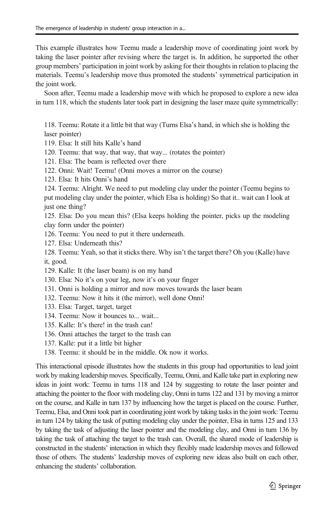This example illustrates how Teemu made a leadership move of coordinating joint work by taking the laser pointer after revising where the target is. In addition, he supported the other group members' participation in joint work by asking for their thoughts in relation to placing the materials. Teemu's leadership move thus promoted the students' symmetrical participation in the joint work.

Soon after, Teemu made a leadership move with which he proposed to explore a new idea in turn 118, which the students later took part in designing the laser maze quite symmetrically:

118. Teemu: Rotate it a little bit that way (Turns Elsa's hand, in which she is holding the laser pointer)

- 119. Elsa: It still hits Kalle's hand
- 120. Teemu: that way, that way, that way... (rotates the pointer)
- 121. Elsa: The beam is reflected over there
- 122. Onni: Wait! Teemu! (Onni moves a mirror on the course)
- 123. Elsa: It hits Onni's hand

124. Teemu: Alright. We need to put modeling clay under the pointer (Teemu begins to put modeling clay under the pointer, which Elsa is holding) So that it.. wait can I look at just one thing?

125. Elsa: Do you mean this? (Elsa keeps holding the pointer, picks up the modeling clay form under the pointer)

- 126. Teemu: You need to put it there underneath.
- 127. Elsa: Underneath this?

128. Teemu: Yeah, so that it sticks there. Why isn't the target there? Oh you (Kalle) have it, good.

- 129. Kalle: It (the laser beam) is on my hand
- 130. Elsa: No it's on your leg, now it's on your finger
- 131. Onni is holding a mirror and now moves towards the laser beam
- 132. Teemu: Now it hits it (the mirror), well done Onni!
- 133. Elsa: Target, target, target
- 134. Teemu: Now it bounces to... wait...
- 135. Kalle: It's there! in the trash can!
- 136. Onni attaches the target to the trash can
- 137. Kalle: put it a little bit higher
- 138. Teemu: it should be in the middle. Ok now it works.

This interactional episode illustrates how the students in this group had opportunities to lead joint work by making leadership moves. Specifically, Teemu, Onni, and Kalle take part in exploring new ideas in joint work: Teemu in turns 118 and 124 by suggesting to rotate the laser pointer and attaching the pointer to the floor with modeling clay, Onni in turns 122 and 131 by moving a mirror on the course, and Kalle in turn 137 by influencing how the target is placed on the course. Further, Teemu, Elsa, and Onni took part in coordinating joint work by taking tasks in the joint work: Teemu in turn 124 by taking the task of putting modeling clay under the pointer, Elsa in turns 125 and 133 by taking the task of adjusting the laser pointer and the modeling clay, and Onni in turn 136 by taking the task of attaching the target to the trash can. Overall, the shared mode of leadership is constructed in the students' interaction in which they flexibly made leadership moves and followed those of others. The students' leadership moves of exploring new ideas also built on each other, enhancing the students' collaboration.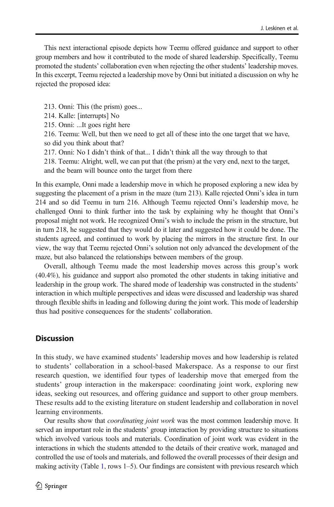This next interactional episode depicts how Teemu offered guidance and support to other group members and how it contributed to the mode of shared leadership. Specifically, Teemu promoted the students' collaboration even when rejecting the other students' leadership moves. In this excerpt, Teemu rejected a leadership move by Onni but initiated a discussion on why he rejected the proposed idea:

- 213. Onni: This (the prism) goes...
- 214. Kalle: [interrupts] No
- 215. Onni: ...It goes right here
- 216. Teemu: Well, but then we need to get all of these into the one target that we have, so did you think about that?
- 217. Onni: No I didn't think of that... I didn't think all the way through to that
- 218. Teemu: Alright, well, we can put that (the prism) at the very end, next to the target,
- and the beam will bounce onto the target from there

In this example, Onni made a leadership move in which he proposed exploring a new idea by suggesting the placement of a prism in the maze (turn 213). Kalle rejected Onni's idea in turn 214 and so did Teemu in turn 216. Although Teemu rejected Onni's leadership move, he challenged Onni to think further into the task by explaining why he thought that Onni's proposal might not work. He recognized Onni's wish to include the prism in the structure, but in turn 218, he suggested that they would do it later and suggested how it could be done. The students agreed, and continued to work by placing the mirrors in the structure first. In our view, the way that Teemu rejected Onni's solution not only advanced the development of the maze, but also balanced the relationships between members of the group.

Overall, although Teemu made the most leadership moves across this group's work (40.4%), his guidance and support also promoted the other students in taking initiative and leadership in the group work. The shared mode of leadership was constructed in the students' interaction in which multiple perspectives and ideas were discussed and leadership was shared through flexible shifts in leading and following during the joint work. This mode of leadership thus had positive consequences for the students' collaboration.

#### **Discussion**

In this study, we have examined students' leadership moves and how leadership is related to students' collaboration in a school-based Makerspace. As a response to our first research question, we identified four types of leadership move that emerged from the students' group interaction in the makerspace: coordinating joint work, exploring new ideas, seeking out resources, and offering guidance and support to other group members. These results add to the existing literature on student leadership and collaboration in novel learning environments.

Our results show that *coordinating joint work* was the most common leadership move. It served an important role in the students' group interaction by providing structure to situations which involved various tools and materials. Coordination of joint work was evident in the interactions in which the students attended to the details of their creative work, managed and controlled the use of tools and materials, and followed the overall processes of their design and making activity (Table 1, rows  $1-5$ ). Our findings are consistent with previous research which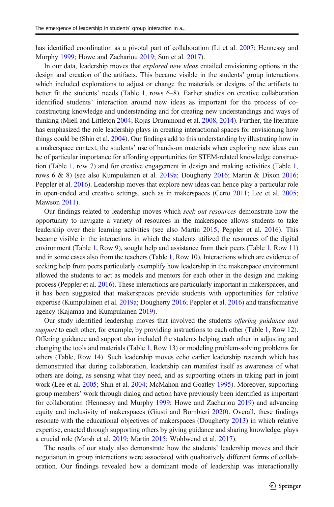has identified coordination as a pivotal part of collaboration (Li et al. 2007; Hennessy and Murphy 1999; Howe and Zachariou 2019; Sun et al. 2017).

In our data, leadership moves that *explored new ideas* entailed envisioning options in the design and creation of the artifacts. This became visible in the students' group interactions which included explorations to adjust or change the materials or designs of the artifacts to better fit the students' needs (Table 1, rows 6–8). Earlier studies on creative collaboration identified students' interaction around new ideas as important for the process of coconstructing knowledge and understanding and for creating new understandings and ways of thinking (Miell and Littleton 2004; Rojas-Drummond et al. 2008, 2014). Further, the literature has emphasized the role leadership plays in creating interactional spaces for envisioning how things could be (Shin et al. 2004). Our findings add to this understanding by illustrating how in a makerspace context, the students' use of hands-on materials when exploring new ideas can be of particular importance for affording opportunities for STEM-related knowledge construction (Table 1, row 7) and for creative engagement in design and making activities (Table 1, rows  $6 \& 8$ ) (see also Kumpulainen et al. 2019a; Dougherty 2016; Martin  $\&$  Dixon 2016; Peppler et al. 2016). Leadership moves that explore new ideas can hence play a particular role in open-ended and creative settings, such as in makerspaces (Certo 2011; Lee et al. 2005; Mawson 2011).

Our findings related to leadership moves which seek out resources demonstrate how the opportunity to navigate a variety of resources in the makerspace allows students to take leadership over their learning activities (see also Martin 2015; Peppler et al. 2016). This became visible in the interactions in which the students utilized the resources of the digital environment (Table 1, Row 9), sought help and assistance from their peers (Table 1, Row 11) and in some cases also from the teachers (Table 1, Row 10). Interactions which are evidence of seeking help from peers particularly exemplify how leadership in the makerspace environment allowed the students to act as models and mentors for each other in the design and making process (Peppler et al. 2016). These interactions are particularly important in makerspaces, and it has been suggested that makerspaces provide students with opportunities for relative expertise (Kumpulainen et al. 2019a; Dougherty 2016; Peppler et al. 2016) and transformative agency (Kajamaa and Kumpulainen 2019).

Our study identified leadership moves that involved the students offering guidance and support to each other, for example, by providing instructions to each other (Table 1, Row 12). Offering guidance and support also included the students helping each other in adjusting and changing the tools and materials (Table 1, Row 13) or modeling problem-solving problems for others (Table, Row 14). Such leadership moves echo earlier leadership research which has demonstrated that during collaboration, leadership can manifest itself as awareness of what others are doing, as sensing what they need, and as supporting others in taking part in joint work (Lee et al. 2005; Shin et al. 2004; McMahon and Goatley 1995). Moreover, supporting group members' work through dialog and action have previously been identified as important for collaboration (Hennessy and Murphy 1999; Howe and Zachariou 2019) and advancing equity and inclusivity of makerspaces (Giusti and Bombieri 2020). Overall, these findings resonate with the educational objectives of makerspaces (Dougherty 2013) in which relative expertise, enacted through supporting others by giving guidance and sharing knowledge, plays a crucial role (Marsh et al. 2019; Martin 2015; Wohlwend et al. 2017).

The results of our study also demonstrate how the students' leadership moves and their negotiation in group interactions were associated with qualitatively different forms of collaboration. Our findings revealed how a dominant mode of leadership was interactionally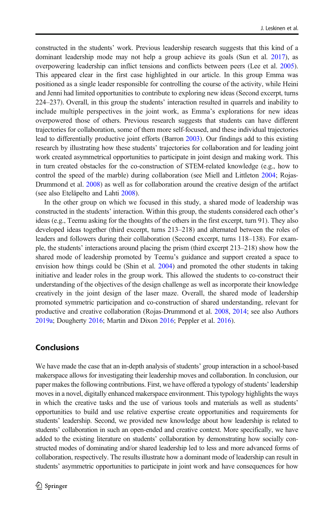constructed in the students' work. Previous leadership research suggests that this kind of a dominant leadership mode may not help a group achieve its goals (Sun et al. 2017), as overpowering leadership can inflict tensions and conflicts between peers (Lee et al. 2005). This appeared clear in the first case highlighted in our article. In this group Emma was positioned as a single leader responsible for controlling the course of the activity, while Heini and Jenni had limited opportunities to contribute to exploring new ideas (Second excerpt, turns 224–237). Overall, in this group the students' interaction resulted in quarrels and inability to include multiple perspectives in the joint work, as Emma's explorations for new ideas overpowered those of others. Previous research suggests that students can have different trajectories for collaboration, some of them more self-focused, and these individual trajectories lead to differentially productive joint efforts (Barron 2003). Our findings add to this existing research by illustrating how these students' trajectories for collaboration and for leading joint work created asymmetrical opportunities to participate in joint design and making work. This in turn created obstacles for the co-construction of STEM-related knowledge (e.g., how to control the speed of the marble) during collaboration (see Miell and Littleton 2004; Rojas-Drummond et al. 2008) as well as for collaboration around the creative design of the artifact (see also Eteläpelto and Lahti 2008).

In the other group on which we focused in this study, a shared mode of leadership was constructed in the students' interaction. Within this group, the students considered each other's ideas (e.g., Teemu asking for the thoughts of the others in the first excerpt, turn 91). They also developed ideas together (third excerpt, turns 213–218) and alternated between the roles of leaders and followers during their collaboration (Second excerpt, turns 118–138). For example, the students' interactions around placing the prism (third excerpt 213–218) show how the shared mode of leadership promoted by Teemu's guidance and support created a space to envision how things could be (Shin et al. 2004) and promoted the other students in taking initiative and leader roles in the group work. This allowed the students to co-construct their understanding of the objectives of the design challenge as well as incorporate their knowledge creatively in the joint design of the laser maze. Overall, the shared mode of leadership promoted symmetric participation and co-construction of shared understanding, relevant for productive and creative collaboration (Rojas-Drummond et al. 2008, 2014; see also Authors 2019a; Dougherty 2016; Martin and Dixon 2016; Peppler et al. 2016).

## **Conclusions**

We have made the case that an in-depth analysis of students' group interaction in a school-based makerspace allows for investigating their leadership moves and collaboration. In conclusion, our paper makes the following contributions. First, we have offered a typology of students' leadership moves in a novel, digitally enhanced makerspace environment. This typology highlights the ways in which the creative tasks and the use of various tools and materials as well as students' opportunities to build and use relative expertise create opportunities and requirements for students' leadership. Second, we provided new knowledge about how leadership is related to students' collaboration in such an open-ended and creative context. More specifically, we have added to the existing literature on students' collaboration by demonstrating how socially constructed modes of dominating and/or shared leadership led to less and more advanced forms of collaboration, respectively. The results illustrate how a dominant mode of leadership can result in students' asymmetric opportunities to participate in joint work and have consequences for how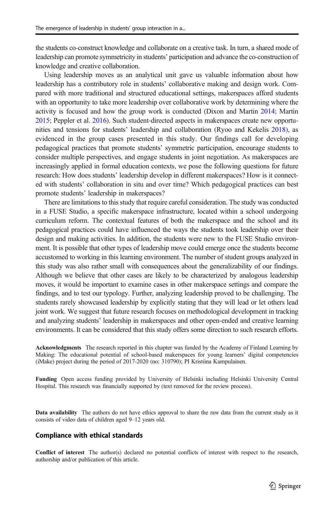the students co-construct knowledge and collaborate on a creative task. In turn, a shared mode of leadership can promote symmetricity in students' participation and advance the co-construction of knowledge and creative collaboration.

Using leadership moves as an analytical unit gave us valuable information about how leadership has a contributory role in students' collaborative making and design work. Compared with more traditional and structured educational settings, makerspaces afford students with an opportunity to take more leadership over collaborative work by determining where the activity is focused and how the group work is conducted (Dixon and Martin 2014; Martin 2015; Peppler et al. 2016). Such student-directed aspects in makerspaces create new opportunities and tensions for students' leadership and collaboration (Ryoo and Kekelis 2018), as evidenced in the group cases presented in this study. Our findings call for developing pedagogical practices that promote students' symmetric participation, encourage students to consider multiple perspectives, and engage students in joint negotiation. As makerspaces are increasingly applied in formal education contexts, we pose the following questions for future research: How does students' leadership develop in different makerspaces? How is it connected with students' collaboration in situ and over time? Which pedagogical practices can best promote students' leadership in makerspaces?

There are limitations to this study that require careful consideration. The study was conducted in a FUSE Studio, a specific makerspace infrastructure, located within a school undergoing curriculum reform. The contextual features of both the makerspace and the school and its pedagogical practices could have influenced the ways the students took leadership over their design and making activities. In addition, the students were new to the FUSE Studio environment. It is possible that other types of leadership move could emerge once the students become accustomed to working in this learning environment. The number of student groups analyzed in this study was also rather small with consequences about the generalizability of our findings. Although we believe that other cases are likely to be characterized by analogous leadership moves, it would be important to examine cases in other makerspace settings and compare the findings, and to test our typology. Further, analyzing leadership proved to be challenging. The students rarely showcased leadership by explicitly stating that they will lead or let others lead joint work. We suggest that future research focuses on methodological development in tracking and analyzing students' leadership in makerspaces and other open-ended and creative learning environments. It can be considered that this study offers some direction to such research efforts.

Acknowledgments The research reported in this chapter was funded by the Academy of Finland Learning by Making: The educational potential of school-based makerspaces for young learners' digital competencies (iMake) project during the period of 2017-2020 (no: 310790); PI Kristiina Kumpulainen.

Funding Open access funding provided by University of Helsinki including Helsinki University Central Hospital. This research was financially supported by (text removed for the review process).

Data availability The authors do not have ethics approval to share the raw data from the current study as it consists of video data of children aged 9–12 years old.

#### Compliance with ethical standards

Conflict of interest The author(s) declared no potential conflicts of interest with respect to the research, authorship and/or publication of this article.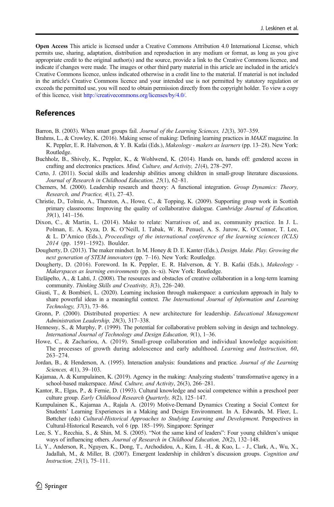Open Access This article is licensed under a Creative Commons Attribution 4.0 International License, which permits use, sharing, adaptation, distribution and reproduction in any medium or format, as long as you give appropriate credit to the original author(s) and the source, provide a link to the Creative Commons licence, and indicate if changes were made. The images or other third party material in this article are included in the article's Creative Commons licence, unless indicated otherwise in a credit line to the material. If material is not included in the article's Creative Commons licence and your intended use is not permitted by statutory regulation or exceeds the permitted use, you will need to obtain permission directly from the copyright holder. To view a copy of this licence, visit [http://creativecommons.org/licenses/by/4.0/.](https://doi.org/http://creativecommons.org/licenses/by/4.0/)

#### References

Barron, B. (2003). When smart groups fail. Journal of the Learning Sciences, 12(3), 307–359.

- Brahms, L., & Crowley, K. (2016). Making sense of making: Defining learning practices in *MAKE* magazine. In K. Peppler, E. R. Halverson, & Y. B. Kafai (Eds.), Makeology - makers as learners (pp. 13-28). New York: Routledge.
- Buchholz, B., Shively, K., Peppler, K., & Wohlwend, K. (2014). Hands on, hands off: gendered access in crafting and electronics practices. Mind, Culture, and Activity, 21(4), 278–297.
- Certo, J. (2011). Social skills and leadership abilities among children in small-group literature discussions. Journal of Research in Childhood Education, 25(1), 62–81.
- Chemers, M. (2000). Leadership research and theory: A functional integration. Group Dynamics: Theory, Research, and Practice, 4(1), 27–43.
- Christie, D., Tolmie, A., Thurston, A., Howe, C., & Topping, K. (2009). Supporting group work in Scottish primary classrooms: Improving the quality of collaborative dialogue. Cambridge Journal of Education, 39(1), 141–156.
- Dixon, C., & Martin, L. (2014). Make to relate: Narratives of, and as, community practice. In J. L. Polman, E. A. Kyza, D. K. O'Neill, I. Tabak, W. R. Penuel, A. S. Jurow, K. O'Connor, T. Lee, & L. D'Amico (Eds.), Proceedings of the international conference of the learning sciences (ICLS) 2014 (pp. 1591–1592). Boulder.
- Dougherty, D. (2013). The maker mindset. In M. Honey & D. E. Kanter (Eds.), *Design. Make. Play. Growing the* next generation of STEM innovators (pp. 7–16). New York: Routledge.
- Dougherty, D. (2016). Foreword. In K. Peppler, E. R. Halverson, & Y. B. Kafai (Eds.), Makeology -Makerspaces as learning environments (pp. ix–xi). New York: Routledge.
- Eteläpelto, A., & Lahti, J. (2008). The resources and obstacles of creative collaboration in a long-term learning community. Thinking Skills and Creativity, 3(3), 226–240.
- Giusti, T., & Bombieri, L. (2020). Learning inclusion through makerspace: a curriculum approach in Italy to share powerful ideas in a meaningful context. The International Journal of Information and Learning Technology, 37(3), 73–86.
- Gronn, P. (2000). Distributed properties: A new architecture for leadership. *Educational Management* Administration Leadership, 28(3), 317–338.
- Hennessy, S., & Murphy, P. (1999). The potential for collaborative problem solving in design and technology. International Journal of Technology and Design Education, 9(1), 1–36.
- Howe, C., & Zachariou, A. (2019). Small-group collaboration and individual knowledge acquisition: The processes of growth during adolescence and early adulthood. Learning and Instruction, 60, 263–274.
- Jordan, B., & Henderson, A. (1995). Interaction analysis: foundations and practice. Journal of the Learning Sciences, 4(1), 39-103.
- Kajamaa, A. & Kumpulainen, K. (2019). Agency in the making: Analyzing students' transformative agency in a school-based makerspace. Mind, Culture, and Activity, 26(3), 266–281.
- Kantor, R., Elgas, P., & Fernie, D. (1993). Cultural knowledge and social competence within a preschool peer culture group. Early Childhood Research Quarterly, 8(2), 125–147.
- Kumpulainen K., Kajamaa A., Rajala A. (2019) Motive-Demand Dynamics Creating a Social Context for Students' Learning Experiences in a Making and Design Environment. In A. Edwards, M. Fleer, L. Bøttcher (eds) Cultural-Historical Approaches to Studying Learning and Development. Perspectives in Cultural-Historical Research, vol 6 (pp. 185–199). Singapore: Springer
- Lee, S. Y., Recchia, S., & Shin, M. S. (2005). "Not the same kind of leaders": Four young children's unique ways of influencing others. Journal of Research in Childhood Education, 20(2), 132–148.
- Li, Y., Anderson, R., Nguyen, K., Dong, T., Archodidou, A., Kim, I. -H., & Kuo, L. J., Clark, A., Wu, X., Jadallah, M., & Miller, B. (2007). Emergent leadership in children's discussion groups. Cognition and Instruction, 25(1), 75–111.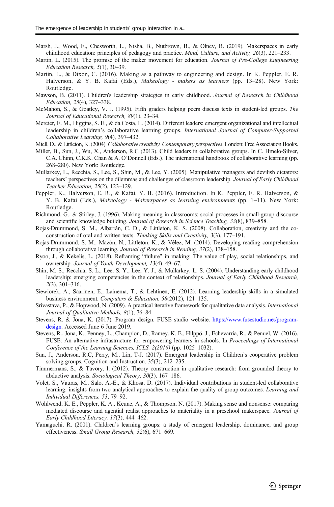- Marsh, J., Wood, E., Chesworth, L., Nisha, B., Nutbrown, B., & Olney, B. (2019). Makerspaces in early childhood education: principles of pedagogy and practice. Mind, Culture, and Activity, 26(3), 221–233.
- Martin, L. (2015). The promise of the maker movement for education. Journal of Pre-College Engineering Education Research, 5(1), 30–39.
- Martin, L., & Dixon, C. (2016). Making as a pathway to engineering and design. In K. Peppler, E. R. Halverson, & Y. B. Kafai (Eds.), Makeology - makers as learners (pp. 13-28). New York: Routledge.
- Mawson, B. (2011). Children's leadership strategies in early childhood. Journal of Research in Childhood Education, 25(4), 327–338.
- McMahon, S., & Goatley, V. J. (1995). Fifth graders helping peers discuss texts in student-led groups. The Journal of Educational Research, 89(1), 23–34.
- Mercier, E. M., Higgins, S. E., & da Costa, L. (2014). Different leaders: emergent organizational and intellectual leadership in children's collaborative learning groups. International Journal of Computer-Supported Collaborative Learning, 9(4), 397–432.
- Miell, D., & Littleton, K. (2004). Collaborative creativity. Contemporary perspectives. London: Free Association Books.
- Miller, B., Sun, J., Wu, X., Anderson, R.C (2013). Child leaders in collaborative groups. In C. Hmelo-Silver, C.A. Chinn, C.K.K. Chan & A. O'Donnell (Eds.), The international handbook of collaborative learning (pp. 268–280). New York: Routledge.
- Mullarkey, L., Recchia, S., Lee, S., Shin, M., & Lee, Y. (2005). Manipulative managers and devilish dictators: teachers' perspectives on the dilemmas and challenges of classroom leadership. Journal of Early Childhood Teacher Education, 25(2), 123–129.
- Peppler, K., Halverson, E. R., & Kafai, Y. B. (2016). Introduction. In K. Peppler, E. R. Halverson, & Y. B. Kafai (Eds.), Makeology - Makerspaces as learning environments (pp. 1–11). New York: Routledge.
- Richmond, G., & Stirley, J. (1996). Making meaning in classrooms: social processes in small-group discourse and scientific knowledge building. Journal of Research in Science Teaching, 33(8), 839–858.
- Rojas-Drummond, S. M., Albarrán, C. D., & Littleton, K. S. (2008). Collaboration, creativity and the coconstruction of oral and written texts. Thinking Skills and Creativity, 3(3), 177–191.
- Rojas-Drummond, S. M., Mazón, N., Littleton, K., & Vélez, M. (2014). Developing reading comprehension through collaborative learning. Journal of Research in Reading, 37(2), 138–158.
- Ryoo, J., & Kekelis, L. (2018). Reframing "failure" in making: The value of play, social relationships, and ownership. Journal of Youth Development, 13(4), 49–67.
- Shin, M. S., Recchia, S. L., Lee, S. Y., Lee, Y. J., & Mullarkey, L. S. (2004). Understanding early childhood leadership: emerging competencies in the context of relationships. Journal of Early Childhood Research, 2(3), 301–316.
- Siewiorek, A., Saarinen, E., Lainema, T., & Lehtinen, E. (2012). Learning leadership skills in a simulated business environment. Computers & Education, 58(2012), 121–135.
- Srivastava, P., & Hopwood, N. (2009). A practical iterative framework for qualitative data analysis. International Journal of Qualitative Methods, 8(1), 76–84.
- Stevens, R. & Jona, K. (2017). Program design. FUSE studio website. [https://www.fusestudio.net/program](https://doi.org/http://creativecommons.org/licenses/by/4.0/)[design.](https://doi.org/http://creativecommons.org/licenses/by/4.0/) Accessed June 6 June 2019.
- Stevens, R., Jona, K., Penney, L., Champion, D., Ramey, K. E., Hilppö, J., Echevarria, R., & Penuel, W. (2016). FUSE: An alternative infrastructure for empowering learners in schools. In *Proceedings of International* Conference of the Learning Sciences, ICLS, 2(2016) (pp. 1025–1032).
- Sun, J., Anderson, R.C, Perry, M., Lin, T-J. (2017). Emergent leadership in Children's cooperative problem solving groups. Cognition and Instruction, 35(3), 212–235.
- Timmermans, S., & Tavory, I. (2012). Theory construction in qualitative research: from grounded theory to abductive analysis. Sociological Theory, 30(3), 167–186.
- Volet, S., Vauras, M., Salo, A.-E., & Khosa, D. (2017). Individual contributions in student-led collaborative learning: insights from two analytical approaches to explain the quality of group outcomes. Learning and Individual Differences, 53, 79–92.
- Wohlwend, K. E., Peppler, K. A., Keune, A., & Thompson, N. (2017). Making sense and nonsense: comparing mediated discourse and agential realist approaches to materiality in a preschool makerspace. Journal of Early Childhood Literacy, 17(3), 444–462.
- Yamaguchi, R. (2001). Children's learning groups: a study of emergent leadership, dominance, and group effectiveness. Small Group Research, 32(6), 671–669.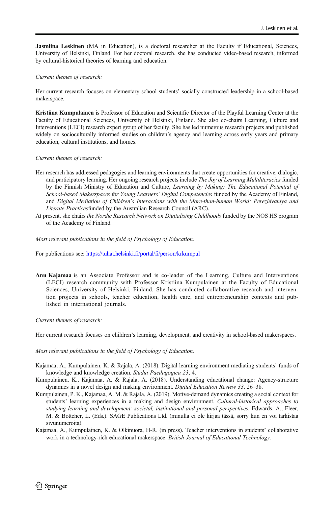Jasmiina Leskinen (MA in Education), is a doctoral researcher at the Faculty if Educational, Sciences, University of Helsinki, Finland. For her doctoral research, she has conducted video-based research, informed by cultural-historical theories of learning and education.

#### Current themes of research:

Her current research focuses on elementary school students' socially constructed leadership in a school-based makerspace.

Kristiina Kumpulainen is Professor of Education and Scientific Director of the Playful Learning Center at the Faculty of Educational Sciences, University of Helsinki, Finland. She also co-chairs Learning, Culture and Interventions (LECI) research expert group of her faculty. She has led numerous research projects and published widely on socioculturally informed studies on children's agency and learning across early years and primary education, cultural institutions, and homes.

#### Current themes of research:

- Her research has addressed pedagogies and learning environments that create opportunities for creative, dialogic, and participatory learning. Her ongoing research projects include The Joy of Learning Multiliteracies funded by the Finnish Ministry of Education and Culture, Learning by Making: The Educational Potential of School-based Makerspaces for Young Learners' Digital Competencies funded by the Academy of Finland, and Digital Mediation of Children's Interactions with the More-than-human World: Perezhivaniya and Literate Practicesfunded by the Australian Research Council (ARC).
- At present, she chairs the Nordic Research Network on Digitalising Childhoods funded by the NOS HS program of the Academy of Finland.
- Most relevant publications in the field of Psychology of Education:

For publications see: [https://tuhat.helsinki.fi/portal/fi/person/krkumpul](https://doi.org/http://creativecommons.org/licenses/by/4.0/)

Anu Kajamaa is an Associate Professor and is co-leader of the Learning, Culture and Interventions (LECI) research community with Professor Kristiina Kumpulainen at the Faculty of Educational Sciences, University of Helsinki, Finland. She has conducted collaborative research and intervention projects in schools, teacher education, health care, and entrepreneurship contexts and published in international journals.

Current themes of research:

Her current research focuses on children's learning, development, and creativity in school-based makerspaces.

Most relevant publications in the field of Psychology of Education:

- Kajamaa, A., Kumpulainen, K. & Rajala, A. (2018). Digital learning environment mediating students' funds of knowledge and knowledge creation. Studia Paedagogica 23, 4.
- Kumpulainen, K., Kajamaa, A. & Rajala, A. (2018). Understanding educational change: Agency-structure dynamics in a novel design and making environment. Digital Education Review 33, 26–38.
- Kumpulainen, P. K., Kajamaa, A. M. & Rajala, A. (2019). Motive-demand dynamics creating a social context for students' learning experiences in a making and design environment. Cultural-historical approaches to studying learning and development: societal, institutional and personal perspectives. Edwards, A., Fleer, M. & Bottcher, L. (Eds.). SAGE Publications Ltd. (minulla ei ole kirjaa tässä, sorry kun en voi tarkistaa sivunumeroita).
- Kajamaa, A., Kumpulainen, K. & Olkinuora, H-R. (in press). Teacher interventions in students' collaborative work in a technology-rich educational makerspace. British Journal of Educational Technology.